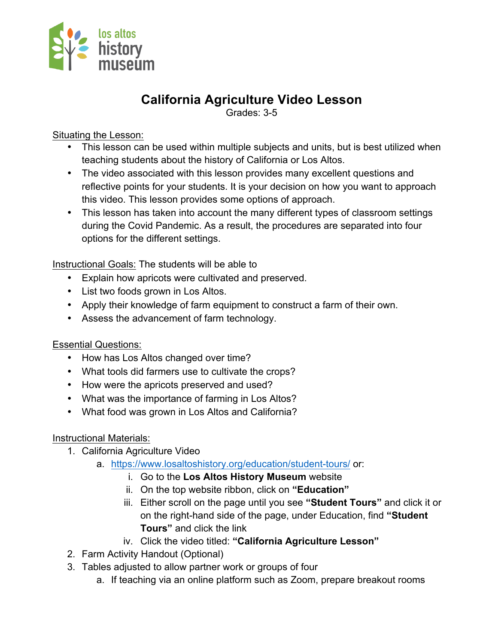

# **California Agriculture Video Lesson**

Grades: 3-5

Situating the Lesson:

- This lesson can be used within multiple subjects and units, but is best utilized when teaching students about the history of California or Los Altos.
- The video associated with this lesson provides many excellent questions and reflective points for your students. It is your decision on how you want to approach this video. This lesson provides some options of approach.
- This lesson has taken into account the many different types of classroom settings during the Covid Pandemic. As a result, the procedures are separated into four options for the different settings.

Instructional Goals: The students will be able to

- Explain how apricots were cultivated and preserved.
- List two foods grown in Los Altos.
- Apply their knowledge of farm equipment to construct a farm of their own.
- Assess the advancement of farm technology.

Essential Questions:

- How has Los Altos changed over time?
- What tools did farmers use to cultivate the crops?
- How were the apricots preserved and used?
- What was the importance of farming in Los Altos?
- What food was grown in Los Altos and California?

Instructional Materials:

- 1. California Agriculture Video
	- a. https://www.losaltoshistory.org/education/student-tours/ or:
		- i. Go to the **Los Altos History Museum** website
		- ii. On the top website ribbon, click on **"Education"**
		- iii. Either scroll on the page until you see **"Student Tours"** and click it or on the right-hand side of the page, under Education, find **"Student Tours"** and click the link
		- iv. Click the video titled: **"California Agriculture Lesson"**
- 2. Farm Activity Handout (Optional)
- 3. Tables adjusted to allow partner work or groups of four
	- a. If teaching via an online platform such as Zoom, prepare breakout rooms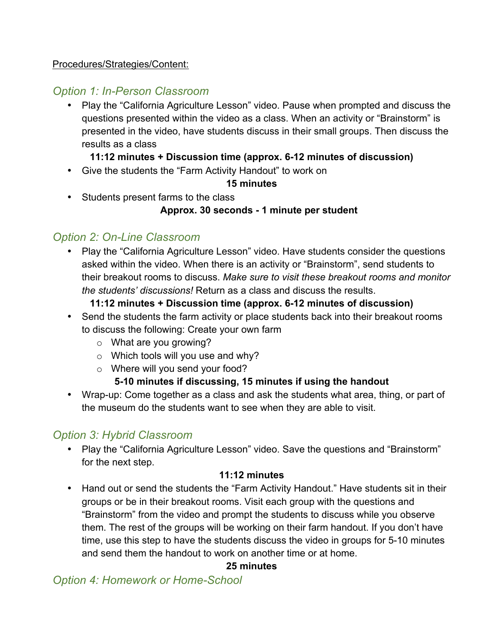## Procedures/Strategies/Content:

# *Option 1: In-Person Classroom*

• Play the "California Agriculture Lesson" video. Pause when prompted and discuss the questions presented within the video as a class. When an activity or "Brainstorm" is presented in the video, have students discuss in their small groups. Then discuss the results as a class

## **11:12 minutes + Discussion time (approx. 6-12 minutes of discussion)**

• Give the students the "Farm Activity Handout" to work on

#### **15 minutes**

• Students present farms to the class

## **Approx. 30 seconds - 1 minute per student**

# *Option 2: On-Line Classroom*

• Play the "California Agriculture Lesson" video. Have students consider the questions asked within the video. When there is an activity or "Brainstorm", send students to their breakout rooms to discuss. *Make sure to visit these breakout rooms and monitor the students' discussions!* Return as a class and discuss the results.

#### **11:12 minutes + Discussion time (approx. 6-12 minutes of discussion)**

- Send the students the farm activity or place students back into their breakout rooms to discuss the following: Create your own farm
	- o What are you growing?
	- $\circ$  Which tools will you use and why?
	- o Where will you send your food?

# **5-10 minutes if discussing, 15 minutes if using the handout**

• Wrap-up: Come together as a class and ask the students what area, thing, or part of the museum do the students want to see when they are able to visit.

# *Option 3: Hybrid Classroom*

• Play the "California Agriculture Lesson" video. Save the questions and "Brainstorm" for the next step.

#### **11:12 minutes**

• Hand out or send the students the "Farm Activity Handout." Have students sit in their groups or be in their breakout rooms. Visit each group with the questions and "Brainstorm" from the video and prompt the students to discuss while you observe them. The rest of the groups will be working on their farm handout. If you don't have time, use this step to have the students discuss the video in groups for 5-10 minutes and send them the handout to work on another time or at home.

# **25 minutes**

# *Option 4: Homework or Home-School*